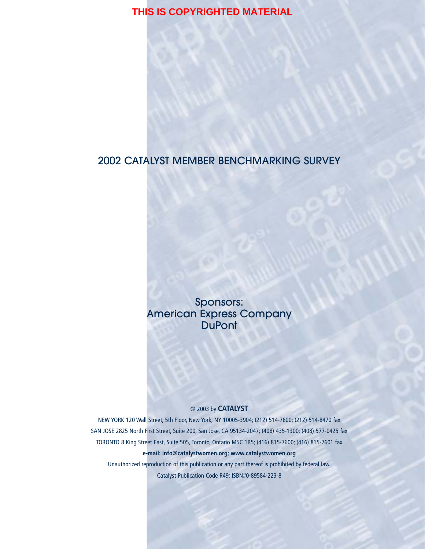# 2002 CATALYST MEMBER BENCHMARKING SURVEY

Sponsors: American Express Company **DuPont** 

#### © 2003 by **CATALYST**

NEW YORK 120 Wall Street, 5th Floor, New York, NY 10005-3904; (212) 514-7600; (212) 514-8470 fax SAN JOSE 2825 North First Street, Suite 200, San Jose, CA 95134-2047; (408) 435-1300; (408) 577-0425 fax TORONTO 8 King Street East, Suite 505, Toronto, Ontario M5C 1B5; (416) 815-7600; (416) 815-7601 fax **e-mail: info@catalystwomen.org; www.catalystwomen.org**

Unauthorized reproduction of this publication or any part thereof is prohibited by federal law. Catalyst Publication Code R49; ISBN#0-89584-223-8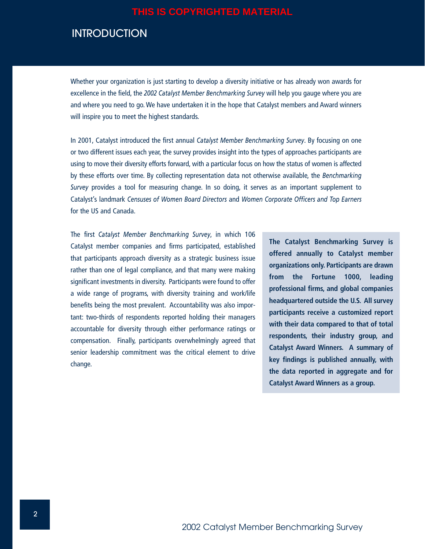# **INTRODUCTION**

Whether your organization is just starting to develop a diversity initiative or has already won awards for excellence in the field, the *2002 Catalyst Member Benchmarking Survey* will help you gauge where you are and where you need to go. We have undertaken it in the hope that Catalyst members and Award winners will inspire you to meet the highest standards*.* 

In 2001, Catalyst introduced the first annual *Catalyst Member Benchmarking Survey*. By focusing on one or two different issues each year, the survey provides insight into the types of approaches participants are using to move their diversity efforts forward, with a particular focus on how the status of women is affected by these efforts over time. By collecting representation data not otherwise available, the *Benchmarking Survey* provides a tool for measuring change. In so doing, it serves as an important supplement to Catalyst's landmark *Censuses of Women Board Directors* and *Women Corporate Officers and Top Earners* for the US and Canada.

The first *Catalyst Member Benchmarking Survey*, in which 106 Catalyst member companies and firms participated, established that participants approach diversity as a strategic business issue rather than one of legal compliance, and that many were making significant investments in diversity. Participants were found to offer a wide range of programs, with diversity training and work/life benefits being the most prevalent. Accountability was also important: two-thirds of respondents reported holding their managers accountable for diversity through either performance ratings or compensation. Finally, participants overwhelmingly agreed that senior leadership commitment was the critical element to drive change.

**The Catalyst Benchmarking Survey is offered annually to Catalyst member organizations only. Participants are drawn from the Fortune 1000, leading professional firms, and global companies headquartered outside the U.S. All survey participants receive a customized report with their data compared to that of total respondents, their industry group, and Catalyst Award Winners. A summary of key findings is published annually, with the data reported in aggregate and for Catalyst Award Winners as a group.**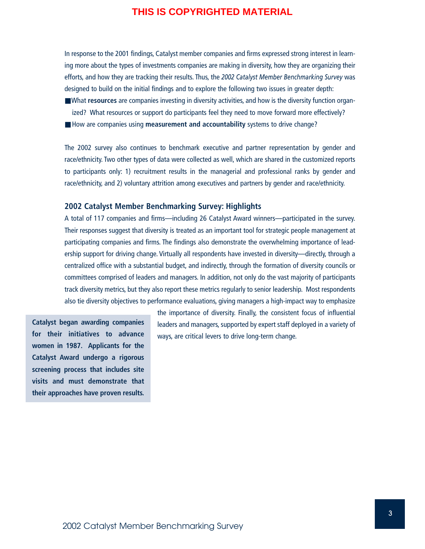In response to the 2001 findings, Catalyst member companies and firms expressed strong interest in learning more about the types of investments companies are making in diversity, how they are organizing their efforts, and how they are tracking their results. Thus, the *2002 Catalyst Member Benchmarking Survey* was designed to build on the initial findings and to explore the following two issues in greater depth:

- What **resources** are companies investing in diversity activities, and how is the diversity function organized? What resources or support do participants feel they need to move forward more effectively?
- How are companies using **measurement and accountability** systems to drive change?

The 2002 survey also continues to benchmark executive and partner representation by gender and race/ethnicity. Two other types of data were collected as well, which are shared in the customized reports to participants only: 1) recruitment results in the managerial and professional ranks by gender and race/ethnicity, and 2) voluntary attrition among executives and partners by gender and race/ethnicity.

### **2002 Catalyst Member Benchmarking Survey: Highlights**

A total of 117 companies and firms—including 26 Catalyst Award winners—participated in the survey. Their responses suggest that diversity is treated as an important tool for strategic people management at participating companies and firms. The findings also demonstrate the overwhelming importance of leadership support for driving change. Virtually all respondents have invested in diversity—directly, through a centralized office with a substantial budget, and indirectly, through the formation of diversity councils or committees comprised of leaders and managers. In addition, not only do the vast majority of participants track diversity metrics, but they also report these metrics regularly to senior leadership. Most respondents also tie diversity objectives to performance evaluations, giving managers a high-impact way to emphasize

**Catalyst began awarding companies for their initiatives to advance women in 1987. Applicants for the Catalyst Award undergo a rigorous screening process that includes site visits and must demonstrate that their approaches have proven results.**

the importance of diversity. Finally, the consistent focus of influential leaders and managers, supported by expert staff deployed in a variety of ways, are critical levers to drive long-term change.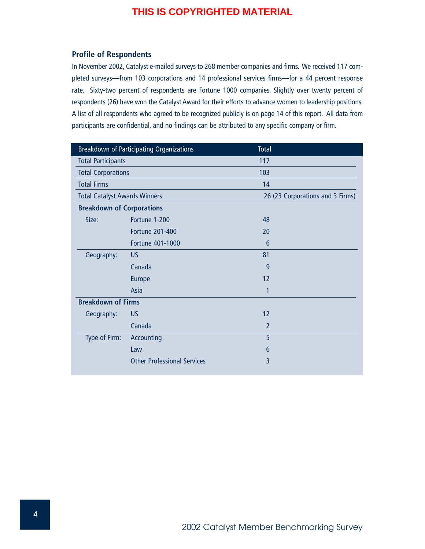### **Profile of Respondents**

In November 2002, Catalyst e-mailed surveys to 268 member companies and firms. We received 117 completed surveys—from 103 corporations and 14 professional services firms—for a 44 percent response rate. Sixty-two percent of respondents are Fortune 1000 companies. Slightly over twenty percent of respondents (26) have won the Catalyst Award for their efforts to advance women to leadership positions. A list of all respondents who agreed to be recognized publicly is on page 14 of this report. All data from participants are confidential, and no findings can be attributed to any specific company or firm.

| <b>Breakdown of Participating Organizations</b> |                                    | Total                            |  |
|-------------------------------------------------|------------------------------------|----------------------------------|--|
| <b>Total Participants</b>                       |                                    | 117                              |  |
| <b>Total Corporations</b>                       |                                    | 103                              |  |
| <b>Total Firms</b>                              |                                    | 14                               |  |
| <b>Total Catalyst Awards Winners</b>            |                                    | 26 (23 Corporations and 3 Firms) |  |
| <b>Breakdown of Corporations</b>                |                                    |                                  |  |
| Size:                                           | Fortune 1-200                      | 48                               |  |
|                                                 | <b>Fortune 201-400</b>             | 20                               |  |
|                                                 | <b>Fortune 401-1000</b>            | 6                                |  |
| Geography:                                      | <b>US</b>                          | 81                               |  |
|                                                 | Canada                             | 9                                |  |
|                                                 | <b>Europe</b>                      | 12                               |  |
|                                                 | Asia                               | 1                                |  |
| <b>Breakdown of Firms</b>                       |                                    |                                  |  |
| Geography:                                      | <b>US</b>                          | 12                               |  |
|                                                 | Canada                             | $\overline{2}$                   |  |
| Type of Firm:                                   | Accounting                         | 5                                |  |
|                                                 | Law                                | 6                                |  |
|                                                 | <b>Other Professional Services</b> | 3                                |  |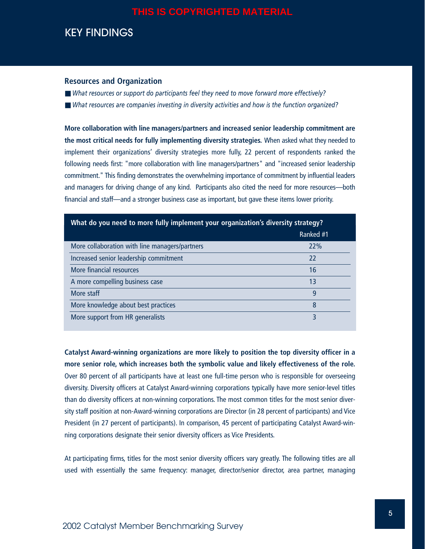# KEY FINDINGS

#### **Resources and Organization**

- *What resources or support do participants feel they need to move forward more effectively?*
- *What resources are companies investing in diversity activities and how is the function organized?*

**More collaboration with line managers/partners and increased senior leadership commitment are the most critical needs for fully implementing diversity strategies.** When asked what they needed to implement their organizations' diversity strategies more fully, 22 percent of respondents ranked the following needs first: "more collaboration with line managers/partners" and "increased senior leadership commitment." This finding demonstrates the overwhelming importance of commitment by influential leaders and managers for driving change of any kind. Participants also cited the need for more resources—both financial and staff—and a stronger business case as important, but gave these items lower priority.

| What do you need to more fully implement your organization's diversity strategy? |           |  |  |
|----------------------------------------------------------------------------------|-----------|--|--|
|                                                                                  | Ranked #1 |  |  |
| More collaboration with line managers/partners                                   | 22%       |  |  |
| Increased senior leadership commitment                                           | 22        |  |  |
| More financial resources                                                         | 16        |  |  |
| A more compelling business case                                                  | 13        |  |  |
| More staff                                                                       | 9         |  |  |
| More knowledge about best practices                                              | 8         |  |  |
| More support from HR generalists                                                 | 3         |  |  |

**Catalyst Award-winning organizations are more likely to position the top diversity officer in a more senior role, which increases both the symbolic value and likely effectiveness of the role.** Over 80 percent of all participants have at least one full-time person who is responsible for overseeing diversity. Diversity officers at Catalyst Award-winning corporations typically have more senior-level titles than do diversity officers at non-winning corporations. The most common titles for the most senior diversity staff position at non-Award-winning corporations are Director (in 28 percent of participants) and Vice President (in 27 percent of participants). In comparison, 45 percent of participating Catalyst Award-winning corporations designate their senior diversity officers as Vice Presidents.

At participating firms, titles for the most senior diversity officers vary greatly. The following titles are all used with essentially the same frequency: manager, director/senior director, area partner, managing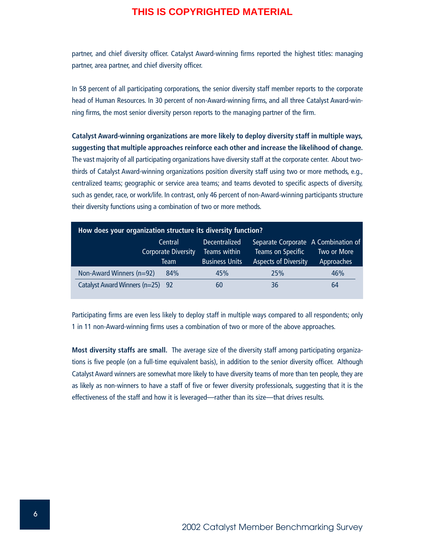partner, and chief diversity officer. Catalyst Award-winning firms reported the highest titles: managing partner, area partner, and chief diversity officer.

In 58 percent of all participating corporations, the senior diversity staff member reports to the corporate head of Human Resources. In 30 percent of non-Award-winning firms, and all three Catalyst Award-winning firms, the most senior diversity person reports to the managing partner of the firm.

**Catalyst Award-winning organizations are more likely to deploy diversity staff in multiple ways, suggesting that multiple approaches reinforce each other and increase the likelihood of change.** The vast majority of all participating organizations have diversity staff at the corporate center. About twothirds of Catalyst Award-winning organizations position diversity staff using two or more methods, e.g., centralized teams; geographic or service area teams; and teams devoted to specific aspects of diversity, such as gender, race, or work/life. In contrast, only 46 percent of non-Award-winning participants structure their diversity functions using a combination of two or more methods.

| How does your organization structure its diversity function? |                                               |                                                        |                                                                                         |                           |  |
|--------------------------------------------------------------|-----------------------------------------------|--------------------------------------------------------|-----------------------------------------------------------------------------------------|---------------------------|--|
|                                                              | Central<br><b>Corporate Diversity</b><br>Team | Decentralized<br>Teams within<br><b>Business Units</b> | Separate Corporate A Combination of<br>Teams on Specific<br><b>Aspects of Diversity</b> | Two or More<br>Approaches |  |
| Non-Award Winners (n=92)                                     | 84%                                           | 45%                                                    | 25%                                                                                     | 46%                       |  |
| Catalyst Award Winners (n=25) 92                             |                                               | 60                                                     | 36                                                                                      | 64                        |  |

Participating firms are even less likely to deploy staff in multiple ways compared to all respondents; only 1 in 11 non-Award-winning firms uses a combination of two or more of the above approaches.

**Most diversity staffs are small.** The average size of the diversity staff among participating organizations is five people (on a full-time equivalent basis), in addition to the senior diversity officer. Although Catalyst Award winners are somewhat more likely to have diversity teams of more than ten people, they are as likely as non-winners to have a staff of five or fewer diversity professionals, suggesting that it is the effectiveness of the staff and how it is leveraged—rather than its size—that drives results.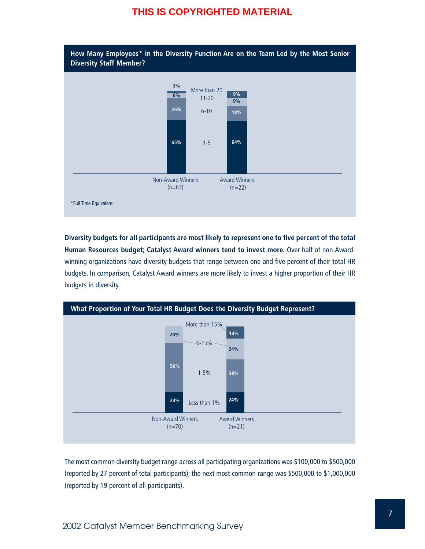

**Diversity budgets for all participants are most likely to represent one to five percent of the total Human Resources budget; Catalyst Award winners tend to invest more.** Over half of non-Awardwinning organizations have diversity budgets that range between one and five percent of their total HR budgets. In comparison, Catalyst Award winners are more likely to invest a higher proportion of their HR budgets in diversity.



The most common diversity budget range across all participating organizations was \$100,000 to \$500,000 (reported by 27 percent of total participants); the next most common range was \$500,000 to \$1,000,000 (reported by 19 percent of all participants).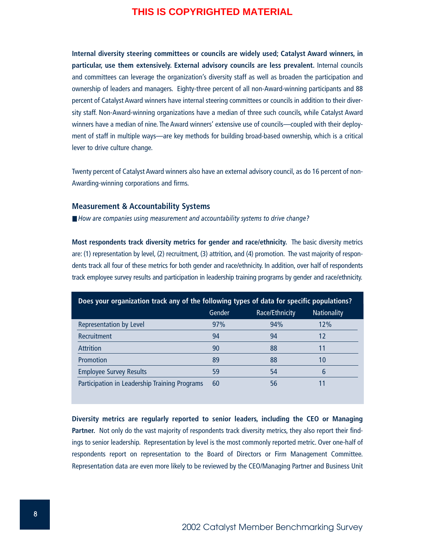**Internal diversity steering committees or councils are widely used; Catalyst Award winners, in particular, use them extensively. External advisory councils are less prevalent.** Internal councils and committees can leverage the organization's diversity staff as well as broaden the participation and ownership of leaders and managers. Eighty-three percent of all non-Award-winning participants and 88 percent of Catalyst Award winners have internal steering committees or councils in addition to their diversity staff. Non-Award-winning organizations have a median of three such councils, while Catalyst Award winners have a median of nine. The Award winners' extensive use of councils—coupled with their deployment of staff in multiple ways—are key methods for building broad-based ownership, which is a critical lever to drive culture change.

Twenty percent of Catalyst Award winners also have an external advisory council, as do 16 percent of non-Awarding-winning corporations and firms.

#### **Measurement & Accountability Systems**

■ *How are companies using measurement and accountability systems to drive change?* 

**Most respondents track diversity metrics for gender and race/ethnicity.** The basic diversity metrics are: (1) representation by level, (2) recruitment, (3) attrition, and (4) promotion. The vast majority of respondents track all four of these metrics for both gender and race/ethnicity. In addition, over half of respondents track employee survey results and participation in leadership training programs by gender and race/ethnicity.

| Does your organization track any of the following types of data for specific populations? |        |                |                    |  |
|-------------------------------------------------------------------------------------------|--------|----------------|--------------------|--|
|                                                                                           | Gender | Race/Ethnicity | <b>Nationality</b> |  |
| Representation by Level                                                                   | 97%    | 94%            | 12%                |  |
| <b>Recruitment</b>                                                                        | 94     | 94             | 12                 |  |
| <b>Attrition</b>                                                                          | 90     | 88             | 11                 |  |
| Promotion                                                                                 | 89     | 88             | 10                 |  |
| <b>Employee Survey Results</b>                                                            | 59     | 54             | 6                  |  |
| Participation in Leadership Training Programs                                             | 60     | 56             | 11                 |  |

**Diversity metrics are regularly reported to senior leaders, including the CEO or Managing** Partner. Not only do the vast majority of respondents track diversity metrics, they also report their findings to senior leadership. Representation by level is the most commonly reported metric. Over one-half of respondents report on representation to the Board of Directors or Firm Management Committee. Representation data are even more likely to be reviewed by the CEO/Managing Partner and Business Unit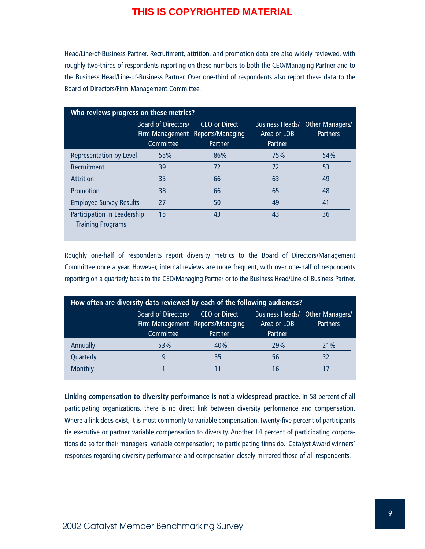Head/Line-of-Business Partner. Recruitment, attrition, and promotion data are also widely reviewed, with roughly two-thirds of respondents reporting on these numbers to both the CEO/Managing Partner and to the Business Head/Line-of-Business Partner. Over one-third of respondents also report these data to the Board of Directors/Firm Management Committee.

| Who reviews progress on these metrics?                  |                                         |                                                              |                                                  |                                    |
|---------------------------------------------------------|-----------------------------------------|--------------------------------------------------------------|--------------------------------------------------|------------------------------------|
|                                                         | <b>Board of Directors/</b><br>Committee | CEO or Direct<br>Firm Management Reports/Managing<br>Partner | <b>Business Heads/</b><br>Area or LOB<br>Partner | Other Managers/<br><b>Partners</b> |
| <b>Representation by Level</b>                          | 55%                                     | 86%                                                          | 75%                                              | 54%                                |
| Recruitment                                             | 39                                      | 72                                                           | 72                                               | 53                                 |
| <b>Attrition</b>                                        | 35                                      | 66                                                           | 63                                               | 49                                 |
| Promotion                                               | 38                                      | 66                                                           | 65                                               | 48                                 |
| <b>Employee Survey Results</b>                          | 27                                      | 50                                                           | 49                                               | 41                                 |
| Participation in Leadership<br><b>Training Programs</b> | 15                                      | 43                                                           | 43                                               | 36                                 |

Roughly one-half of respondents report diversity metrics to the Board of Directors/Management Committee once a year. However, internal reviews are more frequent, with over one-half of respondents reporting on a quarterly basis to the CEO/Managing Partner or to the Business Head/Line-of-Business Partner.

| How often are diversity data reviewed by each of the following audiences? |                                  |                                                              |                        |                                                    |
|---------------------------------------------------------------------------|----------------------------------|--------------------------------------------------------------|------------------------|----------------------------------------------------|
|                                                                           | Board of Directors/<br>Committee | CEO or Direct<br>Firm Management Reports/Managing<br>Partner | Area or LOB<br>Partner | Business Heads/ Other Managers/<br><b>Partners</b> |
| Annually                                                                  | 53%                              | 40%                                                          | 29%                    | 21%                                                |
| Quarterly                                                                 | 9                                | 55                                                           | 56                     | 32                                                 |
| <b>Monthly</b>                                                            |                                  |                                                              | 16                     |                                                    |

**Linking compensation to diversity performance is not a widespread practice.** In 58 percent of all participating organizations, there is no direct link between diversity performance and compensation. Where a link does exist, it is most commonly to variable compensation. Twenty-five percent of participants tie executive or partner variable compensation to diversity. Another 14 percent of participating corporations do so for their managers' variable compensation; no participating firms do. Catalyst Award winners' responses regarding diversity performance and compensation closely mirrored those of all respondents.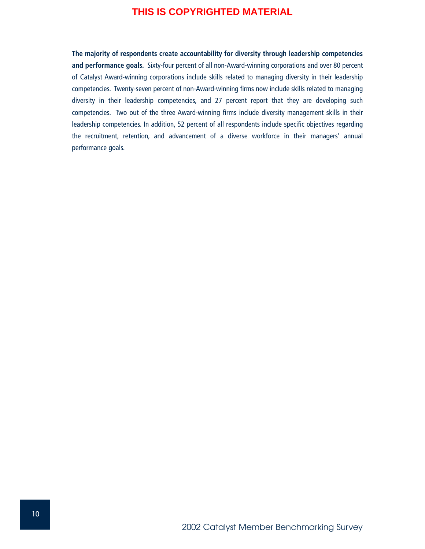**The majority of respondents create accountability for diversity through leadership competencies and performance goals.** Sixty-four percent of all non-Award-winning corporations and over 80 percent of Catalyst Award-winning corporations include skills related to managing diversity in their leadership competencies. Twenty-seven percent of non-Award-winning firms now include skills related to managing diversity in their leadership competencies, and 27 percent report that they are developing such competencies. Two out of the three Award-winning firms include diversity management skills in their leadership competencies. In addition, 52 percent of all respondents include specific objectives regarding the recruitment, retention, and advancement of a diverse workforce in their managers' annual performance goals.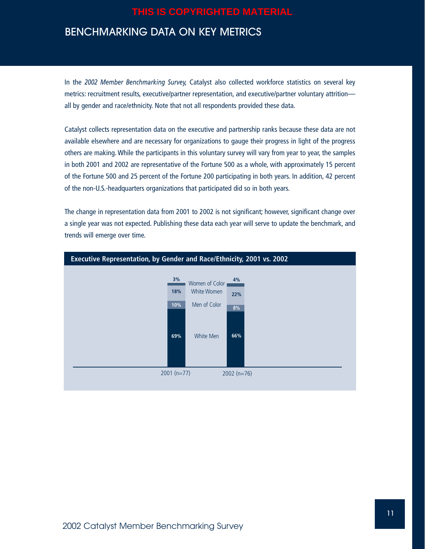# BENCHMARKING DATA ON KEY METRICS

In the *2002 Member Benchmarking Survey,* Catalyst also collected workforce statistics on several key metrics: recruitment results, executive/partner representation, and executive/partner voluntary attrition all by gender and race/ethnicity. Note that not all respondents provided these data.

Catalyst collects representation data on the executive and partnership ranks because these data are not available elsewhere and are necessary for organizations to gauge their progress in light of the progress others are making. While the participants in this voluntary survey will vary from year to year, the samples in both 2001 and 2002 are representative of the Fortune 500 as a whole, with approximately 15 percent of the Fortune 500 and 25 percent of the Fortune 200 participating in both years. In addition, 42 percent of the non-U.S.-headquarters organizations that participated did so in both years.

The change in representation data from 2001 to 2002 is not significant; however, significant change over a single year was not expected. Publishing these data each year will serve to update the benchmark, and trends will emerge over time.

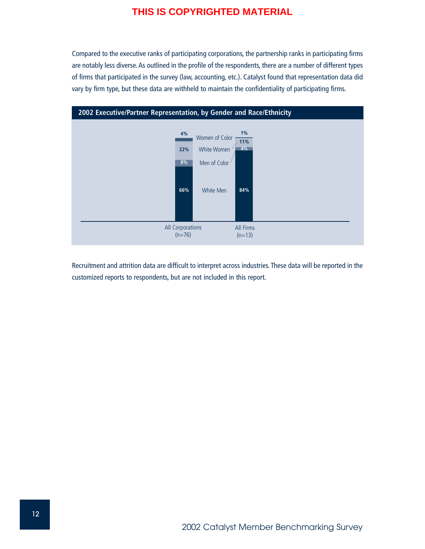Compared to the executive ranks of participating corporations, the partnership ranks in participating firms are notably less diverse. As outlined in the profile of the respondents, there are a number of different types of firms that participated in the survey (law, accounting, etc.). Catalyst found that representation data did vary by firm type, but these data are withheld to maintain the confidentiality of participating firms.



Recruitment and attrition data are difficult to interpret across industries. These data will be reported in the customized reports to respondents, but are not included in this report.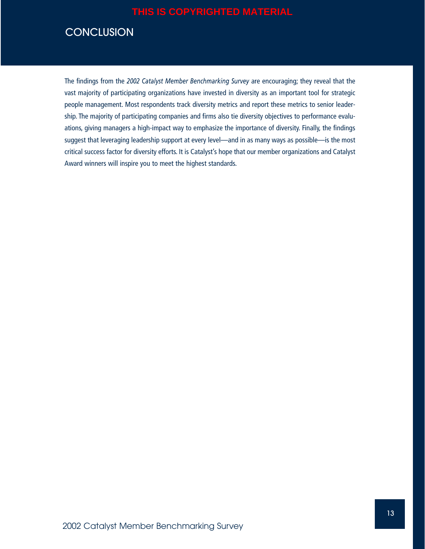# **CONCLUSION**

The findings from the *2002 Catalyst Member Benchmarking Survey* are encouraging; they reveal that the vast majority of participating organizations have invested in diversity as an important tool for strategic people management. Most respondents track diversity metrics and report these metrics to senior leadership. The majority of participating companies and firms also tie diversity objectives to performance evaluations, giving managers a high-impact way to emphasize the importance of diversity. Finally, the findings suggest that leveraging leadership support at every level—and in as many ways as possible—is the most critical success factor for diversity efforts. It is Catalyst's hope that our member organizations and Catalyst Award winners will inspire you to meet the highest standards.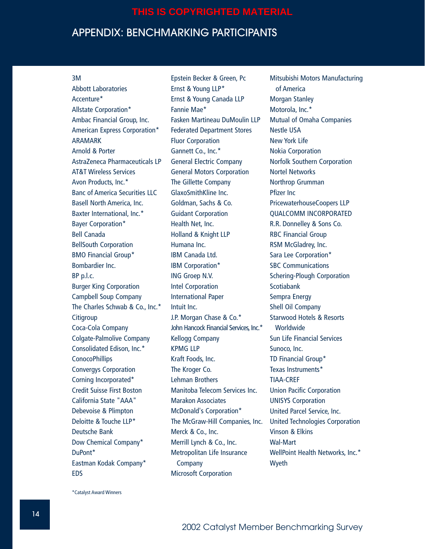# APPENDIX: BENCHMARKING PARTICIPANTS

#### 3M

Abbott Laboratories Accenture\* Allstate Corporation\* Ambac Financial Group, Inc. American Express Corporation\* ARAMARK Arnold & Porter AstraZeneca Pharmaceuticals LP AT&T Wireless Services Avon Products, Inc.\* Banc of America Securities LLC Basell North America, Inc. Baxter International, Inc.\* Bayer Corporation\* Bell Canada BellSouth Corporation BMO Financial Group\* Bombardier Inc. BP p.l.c. Burger King Corporation Campbell Soup Company The Charles Schwab & Co., Inc.\* **Citigroup** Coca-Cola Company Colgate-Palmolive Company Consolidated Edison, Inc.\* ConocoPhillips Convergys Corporation Corning Incorporated\* Credit Suisse First Boston California State "AAA" Debevoise & Plimpton Deloitte & Touche LLP\* Deutsche Bank Dow Chemical Company\* DuPont\* Eastman Kodak Company\* EDS

Epstein Becker & Green, Pc Ernst & Young LLP\* Ernst & Young Canada LLP Fannie Mae\* Fasken Martineau DuMoulin LLP Federated Department Stores Fluor Corporation Gannett Co., Inc.\* General Electric Company General Motors Corporation The Gillette Company GlaxoSmithKline Inc. Goldman, Sachs & Co. Guidant Corporation Health Net, Inc. Holland & Knight LLP Humana Inc. IBM Canada Ltd. IBM Corporation\* ING Groep N.V. Intel Corporation International Paper Intuit Inc. J.P. Morgan Chase & Co.\* John Hancock Financial Services, Inc.\* Kellogg Company KPMG LLP Kraft Foods, Inc. The Kroger Co. Lehman Brothers Manitoba Telecom Services Inc. Marakon Associates McDonald's Corporation\* The McGraw-Hill Companies, Inc. Merck & Co., Inc. Merrill Lynch & Co., Inc. Metropolitan Life Insurance Company Microsoft Corporation

Mitsubishi Motors Manufacturing of America Morgan Stanley Motorola, Inc.\* Mutual of Omaha Companies Nestle USA New York Life Nokia Corporation Norfolk Southern Corporation Nortel Networks Northrop Grumman Pfizer Inc PricewaterhouseCoopers LLP QUALCOMM INCORPORATED R.R. Donnelley & Sons Co. RBC Financial Group RSM McGladrey, Inc. Sara Lee Corporation\* SBC Communications Schering-Plough Corporation **Scotiabank** Sempra Energy Shell Oil Company Starwood Hotels & Resorts Worldwide Sun Life Financial Services Sunoco, Inc. TD Financial Group\* Texas Instruments\* TIAA-CREF Union Pacific Corporation UNISYS Corporation United Parcel Service, Inc. United Technologies Corporation Vinson & Elkins Wal-Mart WellPoint Health Networks, Inc.\* Wyeth

\*Catalyst Award Winners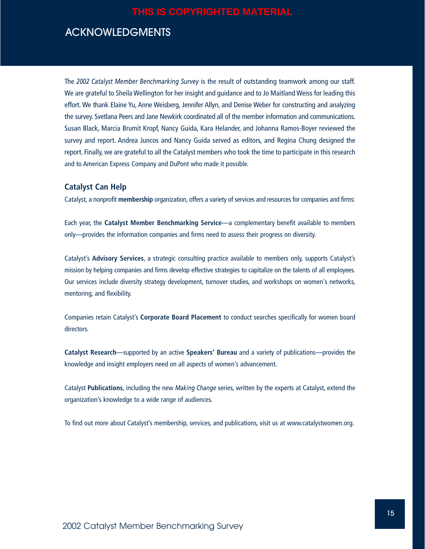# ACKNOWLEDGMENTS

The *2002 Catalyst Member Benchmarking Survey* is the result of outstanding teamwork among our staff. We are grateful to Sheila Wellington for her insight and guidance and to Jo Maitland Weiss for leading this effort. We thank Elaine Yu, Anne Weisberg, Jennifer Allyn, and Denise Weber for constructing and analyzing the survey. Svetlana Peers and Jane Newkirk coordinated all of the member information and communications. Susan Black, Marcia Brumit Kropf, Nancy Guida, Kara Helander, and Johanna Ramos-Boyer reviewed the survey and report. Andrea Juncos and Nancy Guida served as editors, and Regina Chung designed the report. Finally, we are grateful to all the Catalyst members who took the time to participate in this research and to American Express Company and DuPont who made it possible.

#### **Catalyst Can Help**

Catalyst, a nonprofit **membership** organization, offers a variety of services and resources for companies and firms:

Each year, the **Catalyst Member Benchmarking Service**—a complementary benefit available to members only—provides the information companies and firms need to assess their progress on diversity.

Catalyst's **Advisory Services**, a strategic consulting practice available to members only, supports Catalyst's mission by helping companies and firms develop effective strategies to capitalize on the talents of all employees. Our services include diversity strategy development, turnover studies, and workshops on women's networks, mentoring, and flexibility.

Companies retain Catalyst's **Corporate Board Placement** to conduct searches specifically for women board directors.

**Catalyst Research**—supported by an active **Speakers' Bureau** and a variety of publications—provides the knowledge and insight employers need on all aspects of women's advancement.

Catalyst **Publications**, including the new *Making Change* series, written by the experts at Catalyst, extend the organization's knowledge to a wide range of audiences.

To find out more about Catalyst's membership, services, and publications, visit us at www.catalystwomen.org.